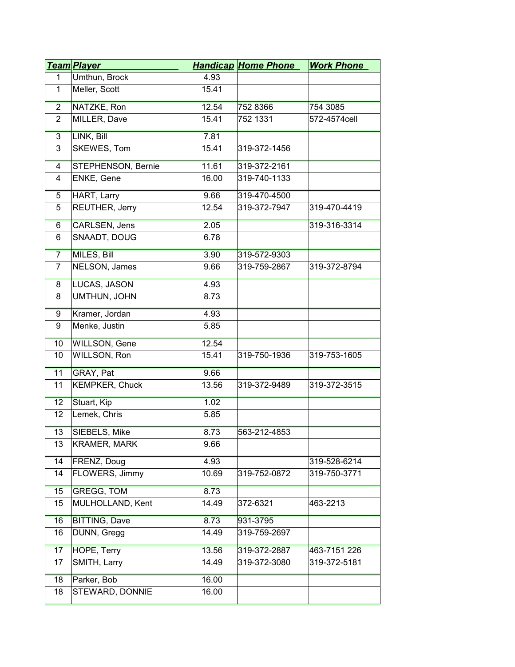|                | <u>Team Player</u>    |       | <b>Handicap Home Phone</b> | <b>Work Phone</b> |
|----------------|-----------------------|-------|----------------------------|-------------------|
| 1              | Umthun, Brock         | 4.93  |                            |                   |
| 1              | Meller, Scott         | 15.41 |                            |                   |
| $\overline{2}$ | NATZKE, Ron           | 12.54 | 752 8366                   | 754 3085          |
| 2              | MILLER, Dave          | 15.41 | 752 1331                   | 572-4574cell      |
| $\overline{3}$ | LINK, Bill            | 7.81  |                            |                   |
| 3              | SKEWES, Tom           | 15.41 | 319-372-1456               |                   |
| $\overline{4}$ | STEPHENSON, Bernie    | 11.61 | 319-372-2161               |                   |
| 4              | ENKE, Gene            | 16.00 | 319-740-1133               |                   |
| 5              | <b>HART, Larry</b>    | 9.66  | 319-470-4500               |                   |
| 5              | REUTHER, Jerry        | 12.54 | 319-372-7947               | 319-470-4419      |
| $6\overline{}$ | <b>CARLSEN, Jens</b>  | 2.05  |                            | 319-316-3314      |
| 6              | SNAADT, DOUG          | 6.78  |                            |                   |
| $\overline{7}$ | MILES, Bill           | 3.90  | 319-572-9303               |                   |
| $\overline{7}$ | NELSON, James         | 9.66  | 319-759-2867               | 319-372-8794      |
| 8              | LUCAS, JASON          | 4.93  |                            |                   |
| 8              | UMTHUN, JOHN          | 8.73  |                            |                   |
| $\overline{9}$ | Kramer, Jordan        | 4.93  |                            |                   |
| 9              | Menke, Justin         | 5.85  |                            |                   |
| 10             | WILLSON, Gene         | 12.54 |                            |                   |
| 10             | WILLSON, Ron          | 15.41 | 319-750-1936               | 319-753-1605      |
| 11             | GRAY, Pat             | 9.66  |                            |                   |
| 11             | <b>KEMPKER, Chuck</b> | 13.56 | 319-372-9489               | 319-372-3515      |
| 12             | Stuart, Kip           | 1.02  |                            |                   |
| 12             | Lemek, Chris          | 5.85  |                            |                   |
| 13             | <b>SIEBELS, Mike</b>  | 8.73  | 563-212-4853               |                   |
| 13             | <b>KRAMER, MARK</b>   | 9.66  |                            |                   |
| 14             | FRENZ, Doug           | 4.93  |                            | 319-528-6214      |
| 14             | FLOWERS, Jimmy        | 10.69 | 319-752-0872               | 319-750-3771      |
| 15             | <b>GREGG, TOM</b>     | 8.73  |                            |                   |
| 15             | MULHOLLAND, Kent      | 14.49 | 372-6321                   | 463-2213          |
| 16             | <b>BITTING, Dave</b>  | 8.73  | 931-3795                   |                   |
| 16             | DUNN, Gregg           | 14.49 | 319-759-2697               |                   |
| 17             | HOPE, Terry           | 13.56 | 319-372-2887               | 463-7151 226      |
| 17             | SMITH, Larry          | 14.49 | 319-372-3080               | 319-372-5181      |
| 18             | Parker, Bob           | 16.00 |                            |                   |
| 18             | STEWARD, DONNIE       | 16.00 |                            |                   |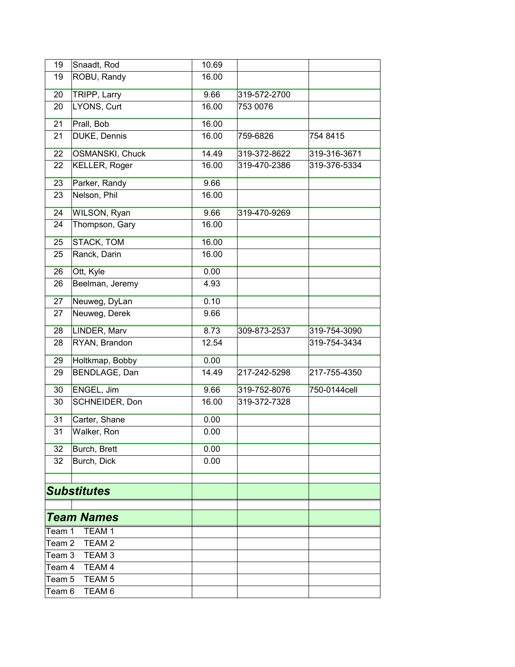| 19                          | Snaadt, Rod            | 10.69 |              |              |
|-----------------------------|------------------------|-------|--------------|--------------|
| 19                          | ROBU, Randy            | 16.00 |              |              |
| 20                          | TRIPP, Larry           | 9.66  | 319-572-2700 |              |
| 20                          | LYONS, Curt            | 16.00 | 753 0076     |              |
| 21                          | Prall, Bob             | 16.00 |              |              |
| 21                          | DUKE, Dennis           | 16.00 | 759-6826     | 754 8415     |
| 22                          | <b>OSMANSKI, Chuck</b> | 14.49 | 319-372-8622 | 319-316-3671 |
| 22                          | <b>KELLER, Roger</b>   | 16.00 | 319-470-2386 | 319-376-5334 |
| 23                          | Parker, Randy          | 9.66  |              |              |
| 23                          | Nelson, Phil           | 16.00 |              |              |
| 24                          | WILSON, Ryan           | 9.66  | 319-470-9269 |              |
| 24                          | Thompson, Gary         | 16.00 |              |              |
| 25                          | <b>STACK, TOM</b>      | 16.00 |              |              |
| 25                          | Ranck, Darin           | 16.00 |              |              |
| 26                          | Ott, Kyle              | 0.00  |              |              |
| 26                          | Beelman, Jeremy        | 4.93  |              |              |
| 27                          | Neuweg, DyLan          | 0.10  |              |              |
| 27                          | Neuweg, Derek          | 9.66  |              |              |
| 28                          | LINDER, Marv           | 8.73  | 309-873-2537 | 319-754-3090 |
| 28                          | RYAN, Brandon          | 12.54 |              | 319-754-3434 |
| 29                          | Holtkmap, Bobby        | 0.00  |              |              |
| 29                          | BENDLAGE, Dan          | 14.49 | 217-242-5298 | 217-755-4350 |
| 30                          | ENGEL, Jim             | 9.66  | 319-752-8076 | 750-0144cell |
| 30                          | SCHNEIDER, Don         | 16.00 | 319-372-7328 |              |
| 31                          | Carter, Shane          | 0.00  |              |              |
| 31                          | Walker, Ron            | 0.00  |              |              |
| 32                          | Burch, Brett           | 0.00  |              |              |
| 32                          | Burch, Dick            | 0.00  |              |              |
|                             |                        |       |              |              |
|                             | <b>Substitutes</b>     |       |              |              |
|                             | <b>Team Names</b>      |       |              |              |
| Team 1                      | TEAM <sub>1</sub>      |       |              |              |
| Team 2<br>TEAM <sub>2</sub> |                        |       |              |              |
| Team 3<br>TEAM <sub>3</sub> |                        |       |              |              |
| Team 4<br>TEAM 4            |                        |       |              |              |
| TEAM <sub>5</sub><br>Team 5 |                        |       |              |              |
| TEAM <sub>6</sub><br>Team 6 |                        |       |              |              |